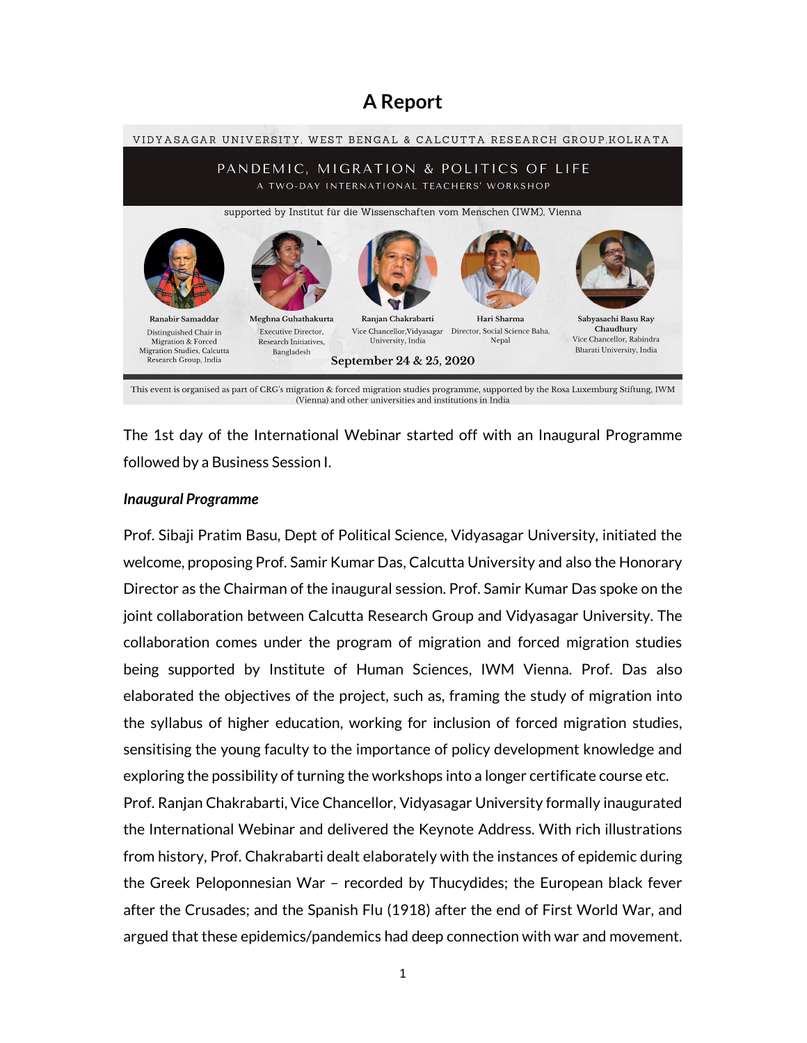# A Report



The 1st day of the International Webinar started off with an Inaugural Programme followed by a Business Session I.

#### Inaugural Programme

Prof. Sibaji Pratim Basu, Dept of Political Science, Vidyasagar University, initiated the welcome, proposing Prof. Samir Kumar Das, Calcutta University and also the Honorary Director as the Chairman of the inaugural session. Prof. Samir Kumar Das spoke on the joint collaboration between Calcutta Research Group and Vidyasagar University. The collaboration comes under the program of migration and forced migration studies being supported by Institute of Human Sciences, IWM Vienna. Prof. Das also elaborated the objectives of the project, such as, framing the study of migration into the syllabus of higher education, working for inclusion of forced migration studies, sensitising the young faculty to the importance of policy development knowledge and exploring the possibility of turning the workshops into a longer certificate course etc.

Prof. Ranjan Chakrabarti, Vice Chancellor, Vidyasagar University formally inaugurated the International Webinar and delivered the Keynote Address. With rich illustrations from history, Prof. Chakrabarti dealt elaborately with the instances of epidemic during the Greek Peloponnesian War – recorded by Thucydides; the European black fever after the Crusades; and the Spanish Flu (1918) after the end of First World War, and argued that these epidemics/pandemics had deep connection with war and movement.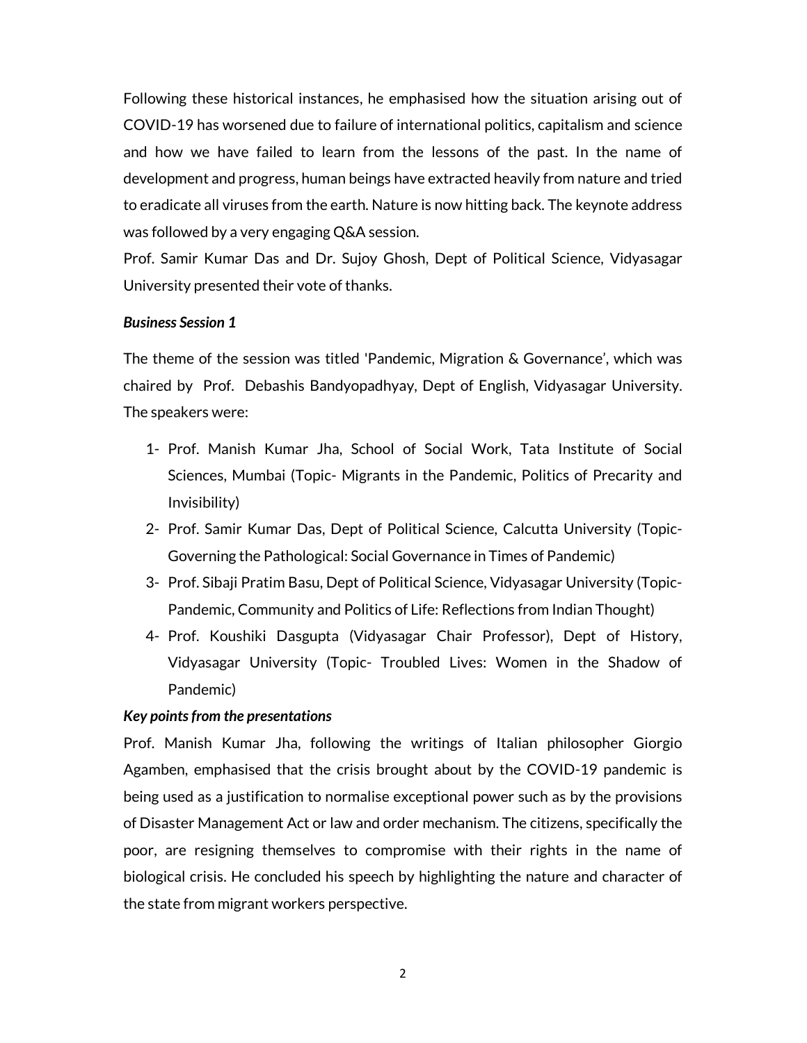Following these historical instances, he emphasised how the situation arising out of COVID-19 has worsened due to failure of international politics, capitalism and science and how we have failed to learn from the lessons of the past. In the name of development and progress, human beings have extracted heavily from nature and tried to eradicate all viruses from the earth. Nature is now hitting back. The keynote address was followed by a very engaging Q&A session.

Prof. Samir Kumar Das and Dr. Sujoy Ghosh, Dept of Political Science, Vidyasagar University presented their vote of thanks.

#### Business Session 1

The theme of the session was titled 'Pandemic, Migration & Governance', which was chaired by Prof. Debashis Bandyopadhyay, Dept of English, Vidyasagar University. The speakers were:

- 1- Prof. Manish Kumar Jha, School of Social Work, Tata Institute of Social Sciences, Mumbai (Topic- Migrants in the Pandemic, Politics of Precarity and Invisibility)
- 2- Prof. Samir Kumar Das, Dept of Political Science, Calcutta University (Topic-Governing the Pathological: Social Governance in Times of Pandemic)
- 3- Prof. Sibaji Pratim Basu, Dept of Political Science, Vidyasagar University (Topic-Pandemic, Community and Politics of Life: Reflections from Indian Thought)
- 4- Prof. Koushiki Dasgupta (Vidyasagar Chair Professor), Dept of History, Vidyasagar University (Topic- Troubled Lives: Women in the Shadow of Pandemic)

#### Key points from the presentations

Prof. Manish Kumar Jha, following the writings of Italian philosopher Giorgio Agamben, emphasised that the crisis brought about by the COVID-19 pandemic is being used as a justification to normalise exceptional power such as by the provisions of Disaster Management Act or law and order mechanism. The citizens, specifically the poor, are resigning themselves to compromise with their rights in the name of biological crisis. He concluded his speech by highlighting the nature and character of the state from migrant workers perspective.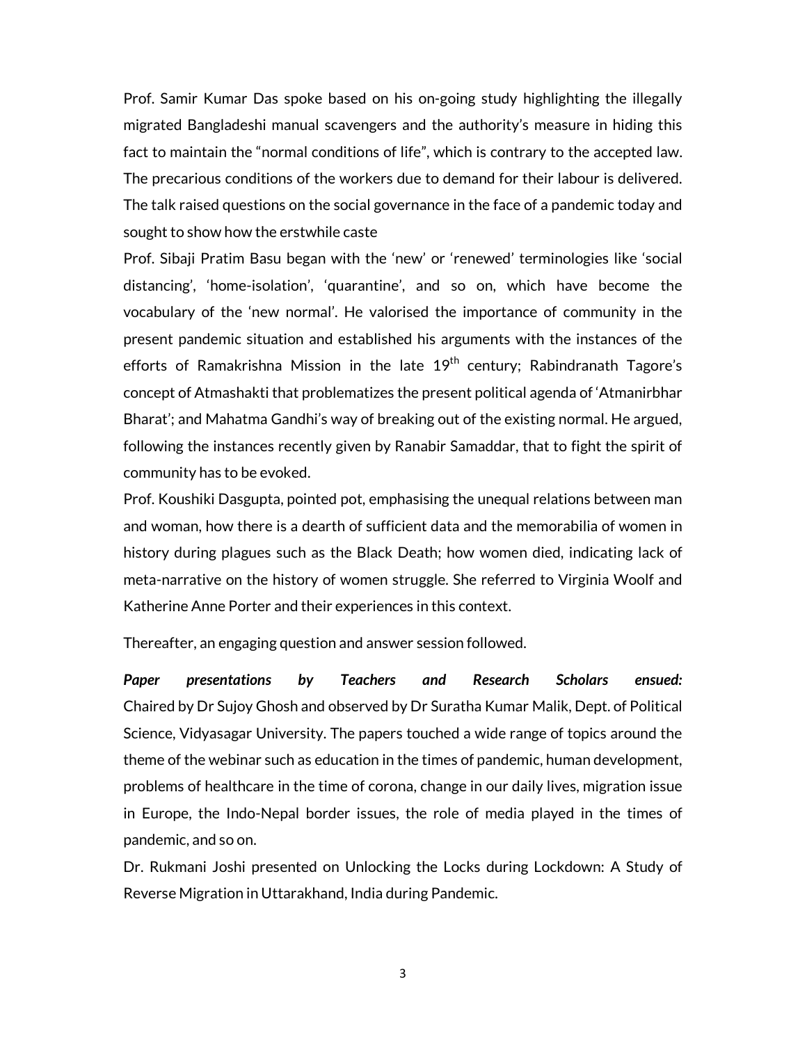Prof. Samir Kumar Das spoke based on his on-going study highlighting the illegally migrated Bangladeshi manual scavengers and the authority's measure in hiding this fact to maintain the "normal conditions of life", which is contrary to the accepted law. The precarious conditions of the workers due to demand for their labour is delivered. The talk raised questions on the social governance in the face of a pandemic today and sought to show how the erstwhile caste

Prof. Sibaji Pratim Basu began with the 'new' or 'renewed' terminologies like 'social distancing', 'home-isolation', 'quarantine', and so on, which have become the vocabulary of the 'new normal'. He valorised the importance of community in the present pandemic situation and established his arguments with the instances of the efforts of Ramakrishna Mission in the late 19<sup>th</sup> century; Rabindranath Tagore's concept of Atmashakti that problematizes the present political agenda of 'Atmanirbhar Bharat'; and Mahatma Gandhi's way of breaking out of the existing normal. He argued, following the instances recently given by Ranabir Samaddar, that to fight the spirit of community has to be evoked.

Prof. Koushiki Dasgupta, pointed pot, emphasising the unequal relations between man and woman, how there is a dearth of sufficient data and the memorabilia of women in history during plagues such as the Black Death; how women died, indicating lack of meta-narrative on the history of women struggle. She referred to Virginia Woolf and Katherine Anne Porter and their experiences in this context.

Thereafter, an engaging question and answer session followed.

Paper presentations by Teachers and Research Scholars ensued: Chaired by Dr Sujoy Ghosh and observed by Dr Suratha Kumar Malik, Dept. of Political Science, Vidyasagar University. The papers touched a wide range of topics around the theme of the webinar such as education in the times of pandemic, human development, problems of healthcare in the time of corona, change in our daily lives, migration issue in Europe, the Indo-Nepal border issues, the role of media played in the times of pandemic, and so on.

Dr. Rukmani Joshi presented on Unlocking the Locks during Lockdown: A Study of Reverse Migration in Uttarakhand, India during Pandemic.

3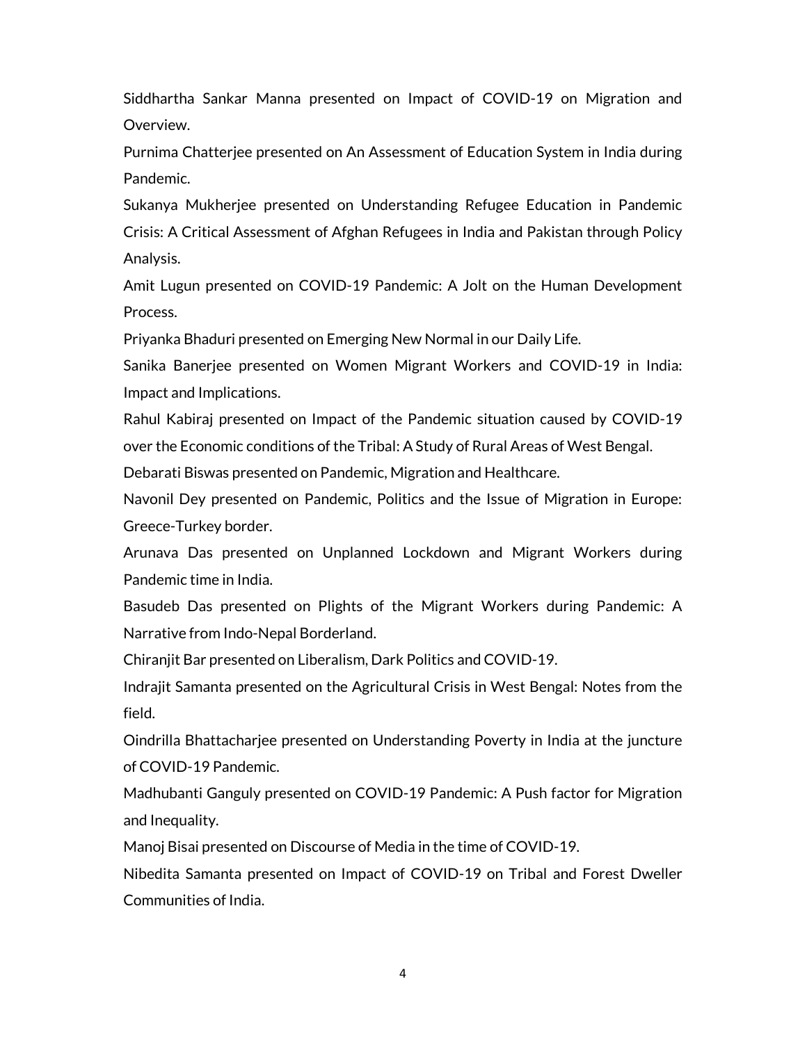Siddhartha Sankar Manna presented on Impact of COVID-19 on Migration and Overview.

Purnima Chatterjee presented on An Assessment of Education System in India during Pandemic.

Sukanya Mukherjee presented on Understanding Refugee Education in Pandemic Crisis: A Critical Assessment of Afghan Refugees in India and Pakistan through Policy Analysis.

Amit Lugun presented on COVID-19 Pandemic: A Jolt on the Human Development Process.

Priyanka Bhaduri presented on Emerging New Normal in our Daily Life.

Sanika Banerjee presented on Women Migrant Workers and COVID-19 in India: Impact and Implications.

Rahul Kabiraj presented on Impact of the Pandemic situation caused by COVID-19 over the Economic conditions of the Tribal: A Study of Rural Areas of West Bengal.

Debarati Biswas presented on Pandemic, Migration and Healthcare.

Navonil Dey presented on Pandemic, Politics and the Issue of Migration in Europe: Greece-Turkey border.

Arunava Das presented on Unplanned Lockdown and Migrant Workers during Pandemic time in India.

Basudeb Das presented on Plights of the Migrant Workers during Pandemic: A Narrative from Indo-Nepal Borderland.

Chiranjit Bar presented on Liberalism, Dark Politics and COVID-19.

Indrajit Samanta presented on the Agricultural Crisis in West Bengal: Notes from the field.

Oindrilla Bhattacharjee presented on Understanding Poverty in India at the juncture of COVID-19 Pandemic.

Madhubanti Ganguly presented on COVID-19 Pandemic: A Push factor for Migration and Inequality.

Manoj Bisai presented on Discourse of Media in the time of COVID-19.

Nibedita Samanta presented on Impact of COVID-19 on Tribal and Forest Dweller Communities of India.

4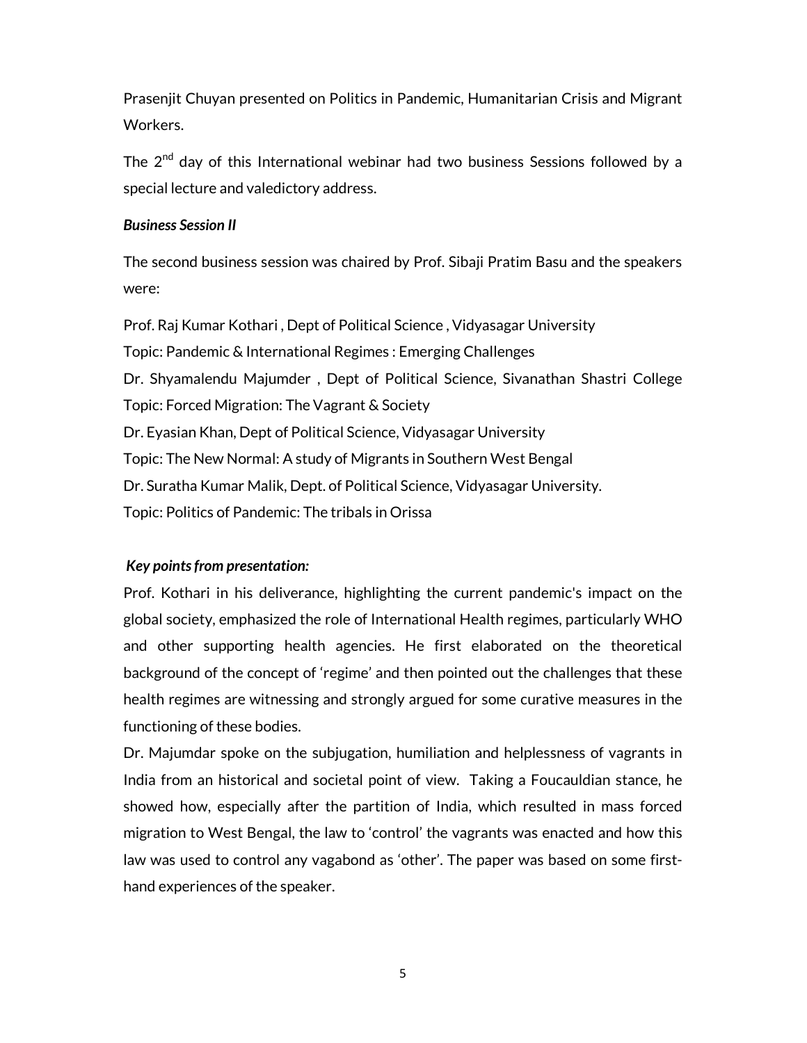Prasenjit Chuyan presented on Politics in Pandemic, Humanitarian Crisis and Migrant Workers.

The  $2<sup>nd</sup>$  day of this International webinar had two business Sessions followed by a special lecture and valedictory address.

## Business Session II

The second business session was chaired by Prof. Sibaji Pratim Basu and the speakers were:

Prof. Raj Kumar Kothari , Dept of Political Science , Vidyasagar University Topic: Pandemic & International Regimes : Emerging Challenges Dr. Shyamalendu Majumder , Dept of Political Science, Sivanathan Shastri College Topic: Forced Migration: The Vagrant & Society Dr. Eyasian Khan, Dept of Political Science, Vidyasagar University Topic: The New Normal: A study of Migrants in Southern West Bengal Dr. Suratha Kumar Malik, Dept. of Political Science, Vidyasagar University. Topic: Politics of Pandemic: The tribals in Orissa

# Key points from presentation:

Prof. Kothari in his deliverance, highlighting the current pandemic's impact on the global society, emphasized the role of International Health regimes, particularly WHO and other supporting health agencies. He first elaborated on the theoretical background of the concept of 'regime' and then pointed out the challenges that these health regimes are witnessing and strongly argued for some curative measures in the functioning of these bodies.

Dr. Majumdar spoke on the subjugation, humiliation and helplessness of vagrants in India from an historical and societal point of view. Taking a Foucauldian stance, he showed how, especially after the partition of India, which resulted in mass forced migration to West Bengal, the law to 'control' the vagrants was enacted and how this law was used to control any vagabond as 'other'. The paper was based on some firsthand experiences of the speaker.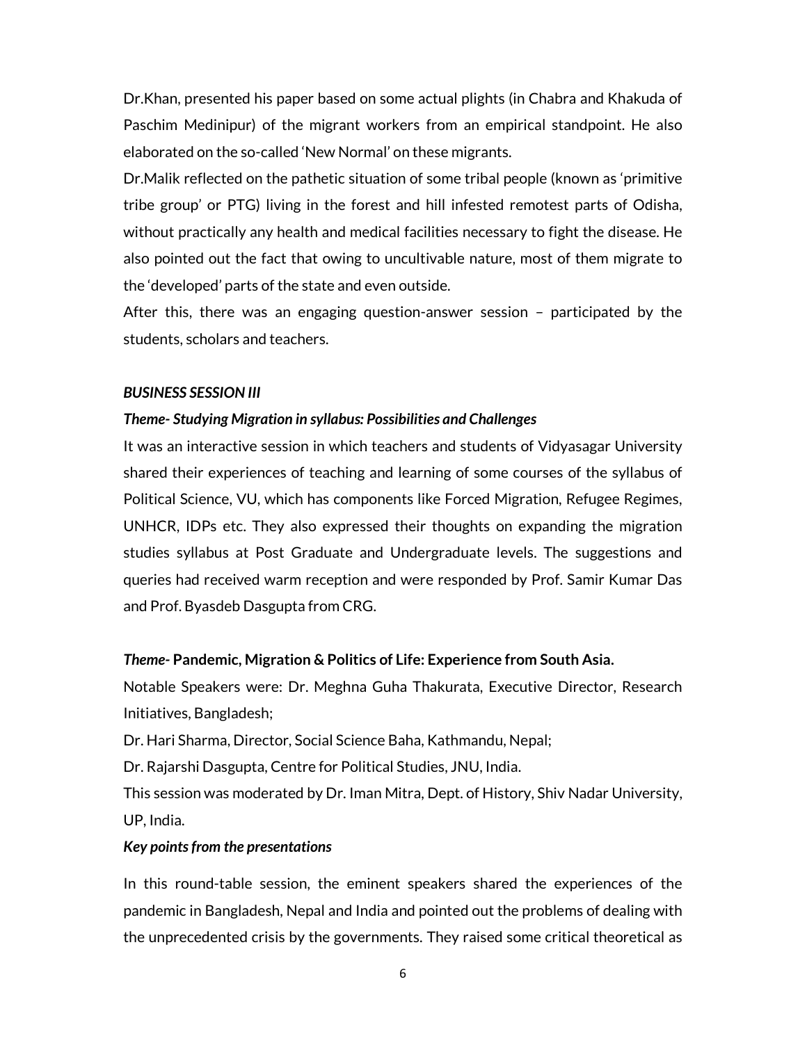Dr.Khan, presented his paper based on some actual plights (in Chabra and Khakuda of Paschim Medinipur) of the migrant workers from an empirical standpoint. He also elaborated on the so-called 'New Normal' on these migrants.

Dr.Malik reflected on the pathetic situation of some tribal people (known as 'primitive tribe group' or PTG) living in the forest and hill infested remotest parts of Odisha, without practically any health and medical facilities necessary to fight the disease. He also pointed out the fact that owing to uncultivable nature, most of them migrate to the 'developed' parts of the state and even outside.

After this, there was an engaging question-answer session – participated by the students, scholars and teachers.

#### BUSINESS SESSION III

#### Theme- Studying Migration in syllabus: Possibilities and Challenges

It was an interactive session in which teachers and students of Vidyasagar University shared their experiences of teaching and learning of some courses of the syllabus of Political Science, VU, which has components like Forced Migration, Refugee Regimes, UNHCR, IDPs etc. They also expressed their thoughts on expanding the migration studies syllabus at Post Graduate and Undergraduate levels. The suggestions and queries had received warm reception and were responded by Prof. Samir Kumar Das and Prof. Byasdeb Dasgupta from CRG.

#### Theme- Pandemic, Migration & Politics of Life: Experience from South Asia.

Notable Speakers were: Dr. Meghna Guha Thakurata, Executive Director, Research Initiatives, Bangladesh;

Dr. Hari Sharma, Director, Social Science Baha, Kathmandu, Nepal;

Dr. Rajarshi Dasgupta, Centre for Political Studies, JNU, India.

This session was moderated by Dr. Iman Mitra, Dept. of History, Shiv Nadar University, UP, India.

#### Key points from the presentations

In this round-table session, the eminent speakers shared the experiences of the pandemic in Bangladesh, Nepal and India and pointed out the problems of dealing with the unprecedented crisis by the governments. They raised some critical theoretical as